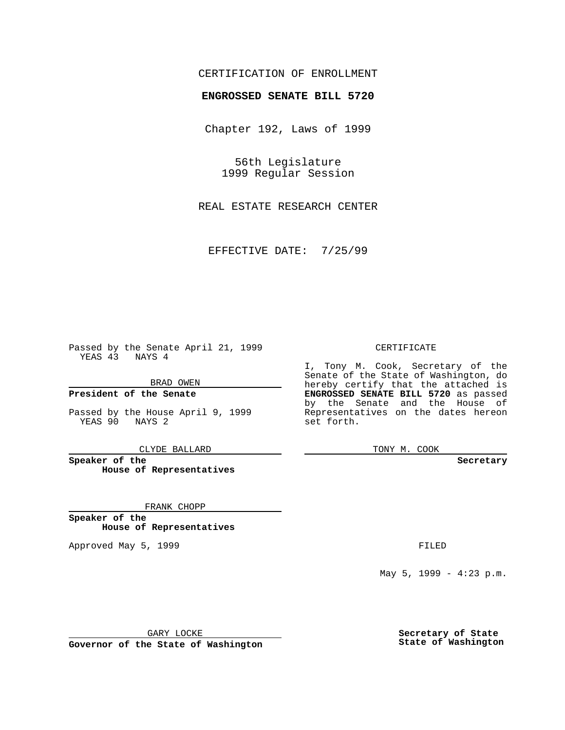## CERTIFICATION OF ENROLLMENT

# **ENGROSSED SENATE BILL 5720**

Chapter 192, Laws of 1999

56th Legislature 1999 Regular Session

REAL ESTATE RESEARCH CENTER

EFFECTIVE DATE: 7/25/99

Passed by the Senate April 21, 1999 YEAS 43 NAYS 4

BRAD OWEN

**President of the Senate**

Passed by the House April 9, 1999 YEAS 90 NAYS 2

CLYDE BALLARD

**Speaker of the House of Representatives**

FRANK CHOPP

**Speaker of the House of Representatives**

Approved May 5, 1999 **FILED** 

#### CERTIFICATE

I, Tony M. Cook, Secretary of the Senate of the State of Washington, do hereby certify that the attached is **ENGROSSED SENATE BILL 5720** as passed by the Senate and the House of Representatives on the dates hereon set forth.

TONY M. COOK

#### **Secretary**

May 5, 1999 - 4:23 p.m.

GARY LOCKE

**Governor of the State of Washington**

**Secretary of State State of Washington**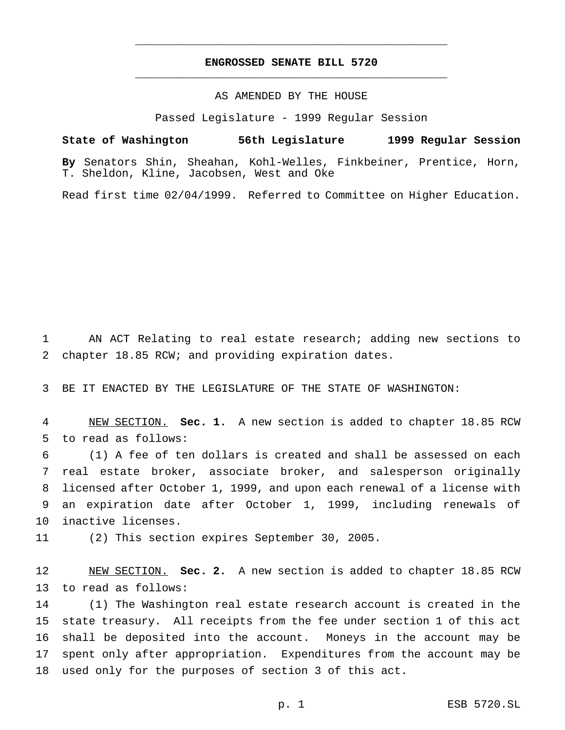## **ENGROSSED SENATE BILL 5720** \_\_\_\_\_\_\_\_\_\_\_\_\_\_\_\_\_\_\_\_\_\_\_\_\_\_\_\_\_\_\_\_\_\_\_\_\_\_\_\_\_\_\_\_\_\_\_

\_\_\_\_\_\_\_\_\_\_\_\_\_\_\_\_\_\_\_\_\_\_\_\_\_\_\_\_\_\_\_\_\_\_\_\_\_\_\_\_\_\_\_\_\_\_\_

### AS AMENDED BY THE HOUSE

Passed Legislature - 1999 Regular Session

**State of Washington 56th Legislature 1999 Regular Session By** Senators Shin, Sheahan, Kohl-Welles, Finkbeiner, Prentice, Horn, T. Sheldon, Kline, Jacobsen, West and Oke

Read first time 02/04/1999. Referred to Committee on Higher Education.

 AN ACT Relating to real estate research; adding new sections to chapter 18.85 RCW; and providing expiration dates.

BE IT ENACTED BY THE LEGISLATURE OF THE STATE OF WASHINGTON:

 NEW SECTION. **Sec. 1.** A new section is added to chapter 18.85 RCW to read as follows:

 (1) A fee of ten dollars is created and shall be assessed on each real estate broker, associate broker, and salesperson originally licensed after October 1, 1999, and upon each renewal of a license with an expiration date after October 1, 1999, including renewals of inactive licenses.

(2) This section expires September 30, 2005.

 NEW SECTION. **Sec. 2.** A new section is added to chapter 18.85 RCW to read as follows:

 (1) The Washington real estate research account is created in the state treasury. All receipts from the fee under section 1 of this act shall be deposited into the account. Moneys in the account may be spent only after appropriation. Expenditures from the account may be used only for the purposes of section 3 of this act.